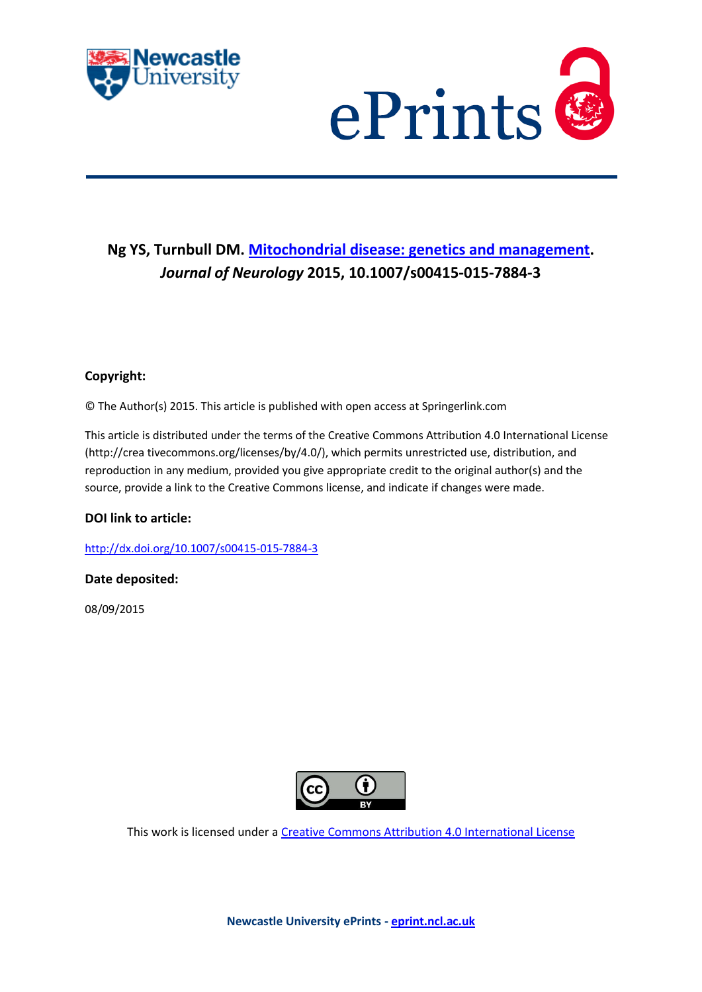



# **Ng YS, Turnbull DM. [Mitochondrial disease: genetics and management.](javascript:ViewPublication(215296);)** *Journal of Neurology* **2015, 10.1007/s00415-015-7884-3**

# **Copyright:**

© The Author(s) 2015. This article is published with open access at Springerlink.com

This article is distributed under the terms of the Creative Commons Attribution 4.0 International License (http://crea tivecommons.org/licenses/by/4.0/), which permits unrestricted use, distribution, and reproduction in any medium, provided you give appropriate credit to the original author(s) and the source, provide a link to the Creative Commons license, and indicate if changes were made.

# **DOI link to article:**

<http://dx.doi.org/10.1007/s00415-015-7884-3>

# **Date deposited:**

08/09/2015



This work is licensed under [a Creative Commons Attribution 4.0 International License](http://creativecommons.org/licenses/by/4.0/)

**Newcastle University ePrints - [eprint.ncl.ac.uk](http://eprint.ncl.ac.uk/)**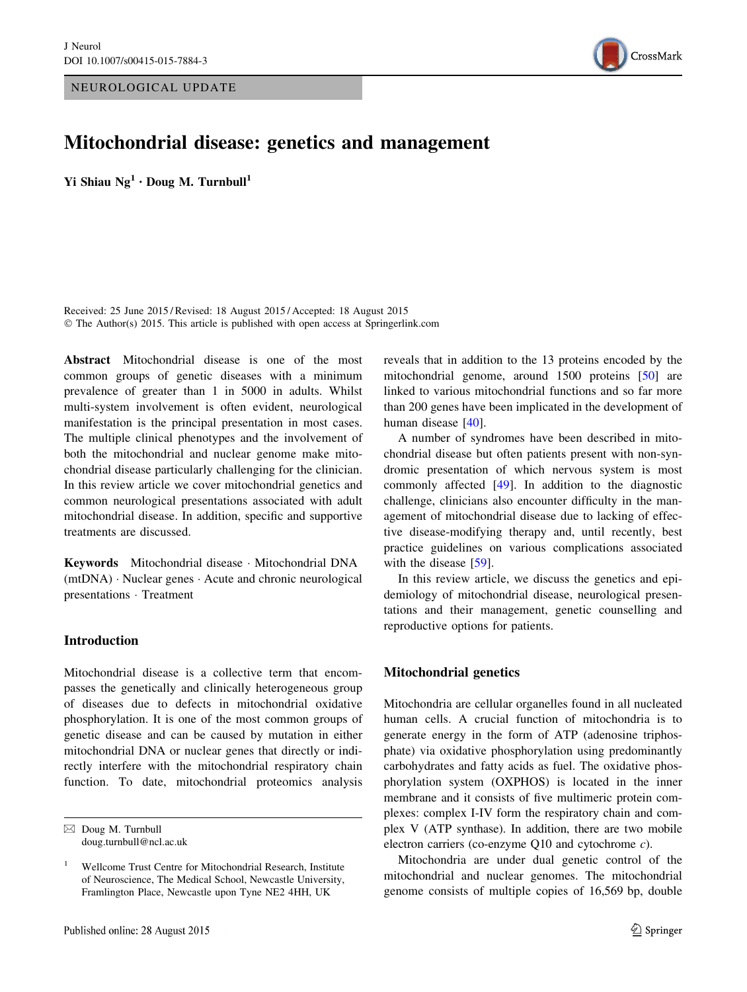NEUROLOGICAL UPDATE



# Mitochondrial disease: genetics and management

Yi Shiau  $Ng^1 \cdot$  Doug M. Turnbull<sup>1</sup>

Received: 25 June 2015 / Revised: 18 August 2015 / Accepted: 18 August 2015 © The Author(s) 2015. This article is published with open access at Springerlink.com

Abstract Mitochondrial disease is one of the most common groups of genetic diseases with a minimum prevalence of greater than 1 in 5000 in adults. Whilst multi-system involvement is often evident, neurological manifestation is the principal presentation in most cases. The multiple clinical phenotypes and the involvement of both the mitochondrial and nuclear genome make mitochondrial disease particularly challenging for the clinician. In this review article we cover mitochondrial genetics and common neurological presentations associated with adult mitochondrial disease. In addition, specific and supportive treatments are discussed.

Keywords Mitochondrial disease - Mitochondrial DNA (mtDNA) - Nuclear genes - Acute and chronic neurological presentations - Treatment

## Introduction

Mitochondrial disease is a collective term that encompasses the genetically and clinically heterogeneous group of diseases due to defects in mitochondrial oxidative phosphorylation. It is one of the most common groups of genetic disease and can be caused by mutation in either mitochondrial DNA or nuclear genes that directly or indirectly interfere with the mitochondrial respiratory chain function. To date, mitochondrial proteomics analysis reveals that in addition to the 13 proteins encoded by the mitochondrial genome, around 1500 proteins [\[50](#page-11-0)] are linked to various mitochondrial functions and so far more than 200 genes have been implicated in the development of human disease [\[40](#page-11-0)].

A number of syndromes have been described in mitochondrial disease but often patients present with non-syndromic presentation of which nervous system is most commonly affected [\[49](#page-11-0)]. In addition to the diagnostic challenge, clinicians also encounter difficulty in the management of mitochondrial disease due to lacking of effective disease-modifying therapy and, until recently, best practice guidelines on various complications associated with the disease [\[59](#page-12-0)].

In this review article, we discuss the genetics and epidemiology of mitochondrial disease, neurological presentations and their management, genetic counselling and reproductive options for patients.

# Mitochondrial genetics

Mitochondria are cellular organelles found in all nucleated human cells. A crucial function of mitochondria is to generate energy in the form of ATP (adenosine triphosphate) via oxidative phosphorylation using predominantly carbohydrates and fatty acids as fuel. The oxidative phosphorylation system (OXPHOS) is located in the inner membrane and it consists of five multimeric protein complexes: complex I-IV form the respiratory chain and complex V (ATP synthase). In addition, there are two mobile electron carriers (co-enzyme Q10 and cytochrome c).

Mitochondria are under dual genetic control of the mitochondrial and nuclear genomes. The mitochondrial genome consists of multiple copies of 16,569 bp, double

 $\boxtimes$  Doug M. Turnbull doug.turnbull@ncl.ac.uk

<sup>&</sup>lt;sup>1</sup> Wellcome Trust Centre for Mitochondrial Research, Institute of Neuroscience, The Medical School, Newcastle University, Framlington Place, Newcastle upon Tyne NE2 4HH, UK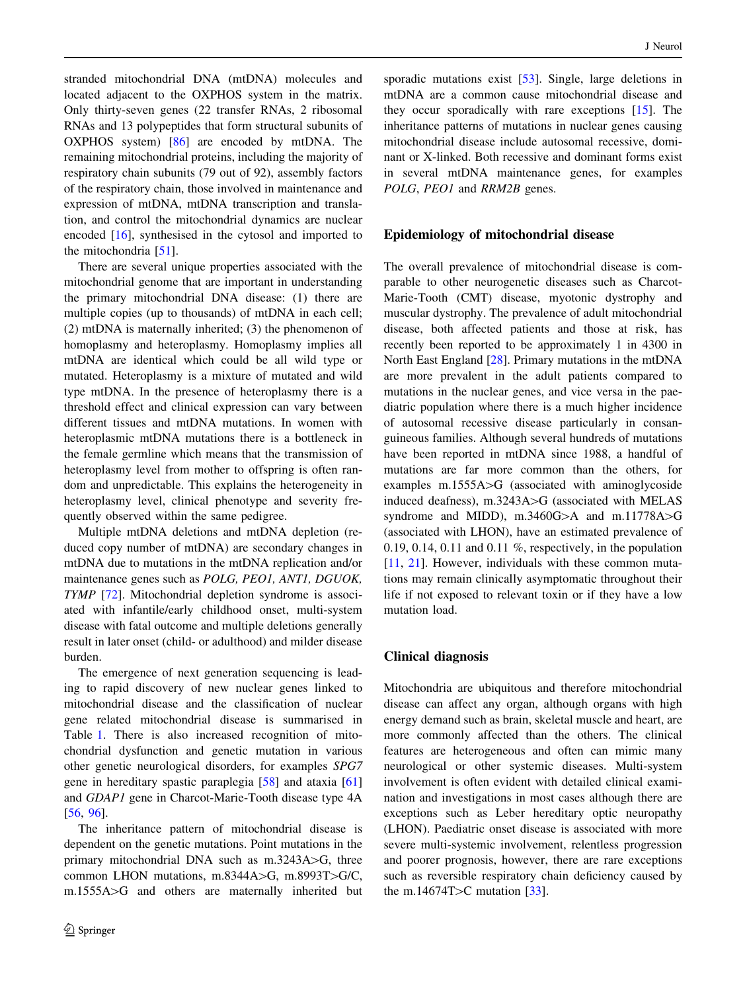stranded mitochondrial DNA (mtDNA) molecules and located adjacent to the OXPHOS system in the matrix. Only thirty-seven genes (22 transfer RNAs, 2 ribosomal RNAs and 13 polypeptides that form structural subunits of OXPHOS system) [[86\]](#page-12-0) are encoded by mtDNA. The remaining mitochondrial proteins, including the majority of respiratory chain subunits (79 out of 92), assembly factors of the respiratory chain, those involved in maintenance and expression of mtDNA, mtDNA transcription and translation, and control the mitochondrial dynamics are nuclear encoded [[16\]](#page-10-0), synthesised in the cytosol and imported to the mitochondria [[51\]](#page-11-0).

There are several unique properties associated with the mitochondrial genome that are important in understanding the primary mitochondrial DNA disease: (1) there are multiple copies (up to thousands) of mtDNA in each cell; (2) mtDNA is maternally inherited; (3) the phenomenon of homoplasmy and heteroplasmy. Homoplasmy implies all mtDNA are identical which could be all wild type or mutated. Heteroplasmy is a mixture of mutated and wild type mtDNA. In the presence of heteroplasmy there is a threshold effect and clinical expression can vary between different tissues and mtDNA mutations. In women with heteroplasmic mtDNA mutations there is a bottleneck in the female germline which means that the transmission of heteroplasmy level from mother to offspring is often random and unpredictable. This explains the heterogeneity in heteroplasmy level, clinical phenotype and severity frequently observed within the same pedigree.

Multiple mtDNA deletions and mtDNA depletion (reduced copy number of mtDNA) are secondary changes in mtDNA due to mutations in the mtDNA replication and/or maintenance genes such as POLG, PEO1, ANT1, DGUOK, TYMP [[72\]](#page-12-0). Mitochondrial depletion syndrome is associated with infantile/early childhood onset, multi-system disease with fatal outcome and multiple deletions generally result in later onset (child- or adulthood) and milder disease burden.

The emergence of next generation sequencing is leading to rapid discovery of new nuclear genes linked to mitochondrial disease and the classification of nuclear gene related mitochondrial disease is summarised in Table [1](#page-3-0). There is also increased recognition of mitochondrial dysfunction and genetic mutation in various other genetic neurological disorders, for examples SPG7 gene in hereditary spastic paraplegia [\[58](#page-12-0)] and ataxia [[61\]](#page-12-0) and GDAP1 gene in Charcot-Marie-Tooth disease type 4A [\[56](#page-11-0), [96\]](#page-13-0).

The inheritance pattern of mitochondrial disease is dependent on the genetic mutations. Point mutations in the primary mitochondrial DNA such as  $m.3243A$  $>$ G, three common LHON mutations, m.8344A $>$ G, m.8993T $>$ G/C, m.1555A>G and others are maternally inherited but sporadic mutations exist [[53\]](#page-11-0). Single, large deletions in mtDNA are a common cause mitochondrial disease and they occur sporadically with rare exceptions [\[15](#page-10-0)]. The inheritance patterns of mutations in nuclear genes causing mitochondrial disease include autosomal recessive, dominant or X-linked. Both recessive and dominant forms exist in several mtDNA maintenance genes, for examples POLG, PEO1 and RRM2B genes.

# Epidemiology of mitochondrial disease

The overall prevalence of mitochondrial disease is comparable to other neurogenetic diseases such as Charcot-Marie-Tooth (CMT) disease, myotonic dystrophy and muscular dystrophy. The prevalence of adult mitochondrial disease, both affected patients and those at risk, has recently been reported to be approximately 1 in 4300 in North East England [\[28](#page-10-0)]. Primary mutations in the mtDNA are more prevalent in the adult patients compared to mutations in the nuclear genes, and vice versa in the paediatric population where there is a much higher incidence of autosomal recessive disease particularly in consanguineous families. Although several hundreds of mutations have been reported in mtDNA since 1988, a handful of mutations are far more common than the others, for examples  $m.1555A$  $\geq$ G (associated with aminoglycoside induced deafness), m.3243A $>$ G (associated with MELAS syndrome and MIDD), m.3460G $>$ A and m.11778A $>$ G (associated with LHON), have an estimated prevalence of 0.19, 0.14, 0.11 and 0.11 %, respectively, in the population [\[11](#page-10-0), [21\]](#page-10-0). However, individuals with these common mutations may remain clinically asymptomatic throughout their life if not exposed to relevant toxin or if they have a low mutation load.

# Clinical diagnosis

Mitochondria are ubiquitous and therefore mitochondrial disease can affect any organ, although organs with high energy demand such as brain, skeletal muscle and heart, are more commonly affected than the others. The clinical features are heterogeneous and often can mimic many neurological or other systemic diseases. Multi-system involvement is often evident with detailed clinical examination and investigations in most cases although there are exceptions such as Leber hereditary optic neuropathy (LHON). Paediatric onset disease is associated with more severe multi-systemic involvement, relentless progression and poorer prognosis, however, there are rare exceptions such as reversible respiratory chain deficiency caused by the m.14674T $>$ C mutation [\[33](#page-11-0)].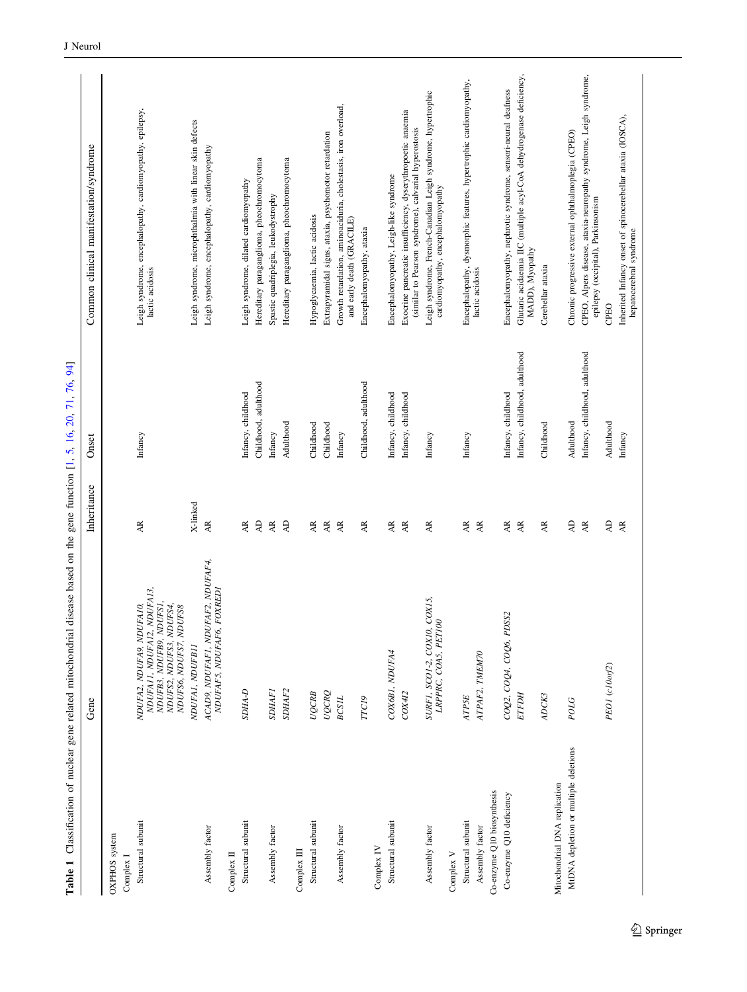<span id="page-3-0"></span>

|                                               | Gene                                                                                                                                      | Inheritance            | Onset                         | Common clinical manifestation/syndrome                                                                               |
|-----------------------------------------------|-------------------------------------------------------------------------------------------------------------------------------------------|------------------------|-------------------------------|----------------------------------------------------------------------------------------------------------------------|
| OXPHOS system                                 |                                                                                                                                           |                        |                               |                                                                                                                      |
| Complex I                                     |                                                                                                                                           |                        |                               |                                                                                                                      |
| Structural subunit                            | NDUFA13,<br>NDUFB3, NDUFB9, NDUFS1,<br>NDUFS2, NDUFS3, NDUFS4,<br>NDUFA2, NDUFA9, NDUFA10,<br>NDUFS6, NDUFS7, NDUFS8<br>NDUFAII, NDUFAI2, | AR                     | Infancy                       | Leigh syndrome, encephalopathy, cardiomyopathy, epilepsy,<br>lactic acidosis                                         |
|                                               | NDUFAI, NDUFBII                                                                                                                           | X-linked               |                               | Leigh syndrome, microphthalmia with linear skin defects                                                              |
| Assembly factor                               | ACAD9, NDUFAF1, NDUFAF2, NDUFAF4,<br>NDUFAF5, NDUFAF6, FOXREDI                                                                            | <b>AR</b>              |                               | Leigh syndrome, encephalopathy, cardiomyopathy                                                                       |
| Complex II                                    |                                                                                                                                           |                        |                               |                                                                                                                      |
| Structural subunit                            | <b>G-AHGS</b>                                                                                                                             | AR                     | Infancy, childhood            | Leigh syndrome, dilated cardiomyopathy                                                                               |
|                                               |                                                                                                                                           | $\Delta\mathsf{D}$     | Childhood, adulthood          | Hereditary paraganglioma, pheochromocytoma                                                                           |
| Assembly factor                               | <b>SDHAFI</b>                                                                                                                             | $\mathbf{A}\mathbf{R}$ | Infancy                       | Spastic quadriplegia, leukodystrophy                                                                                 |
|                                               | SDHAF <sub>2</sub>                                                                                                                        | $\Delta\mathsf{D}$     | Adulthood                     | Hereditary paraganglioma, pheochromocytoma                                                                           |
| Complex III                                   |                                                                                                                                           |                        |                               |                                                                                                                      |
| Structural subunit                            | UQCRB                                                                                                                                     | $\mathbb{A}\mathbb{R}$ | Childhood                     | Hypoglycaemia, lactic acidosis                                                                                       |
|                                               | UQCRQ                                                                                                                                     | $\mathbf{A}\mathbf{R}$ | Childhood                     | Extrapyramidal signs, ataxia, psychomotor retardation                                                                |
| Assembly factor                               | <b>BCSIL</b>                                                                                                                              | $\mathbf{A}\mathbf{R}$ | Infancy                       | Growth retardation, aminoaciduria, cholestasis, iron overload,<br>and early death (GRACILE)                          |
|                                               | TTC19                                                                                                                                     | AR                     | Childhood, adulthood          | Encephalomyopathy, ataxia                                                                                            |
| Complex IV                                    |                                                                                                                                           |                        |                               |                                                                                                                      |
| Structural subunit                            | COX6BI, NDUFA4                                                                                                                            | AR                     | Infancy, childhood            | Encephalomyopathy, Leigh-like syndrome                                                                               |
|                                               | COX412                                                                                                                                    | ĄR                     | Infancy, childhood            | Exocrine pancreatic insufficiency, dyserythropoetic anaemia<br>(similar to Pearson syndrome), calvarial hyperostosis |
| Assembly factor                               | COX15,<br>LRPPRC, COA5, PET100<br>SURF1, SCO1-2, COX10,                                                                                   | AR                     | Infancy                       | Leigh syndrome, French-Canadian Leigh syndrome, hypertrophic<br>cardiomyopathy, encephalomyopathy                    |
| Complex V                                     |                                                                                                                                           |                        |                               |                                                                                                                      |
| Structural subunit                            | ATP5E                                                                                                                                     | AR                     | Infancy                       | Encephalopathy, dysmorphic features, hypertrophic cardiomyopathy,                                                    |
| Co-enzyme Q10 biosynthesis<br>Assembly factor | ATPAF2, TMEM70                                                                                                                            | $\mathbf{A}\mathbf{R}$ |                               | lactic acidosis                                                                                                      |
| Co-enzyme Q10 deficiency                      | COQ2, COQ4, COQ6, PDSS2                                                                                                                   | AR                     | Infancy, childhood            | Encephalomyopathy, nephrotic syndrome, sensori-neural deafness                                                       |
|                                               | <b>FTFDH</b>                                                                                                                              | $\mathbb{A}\mathbb{R}$ | Infancy, childhood, adulthood | Glutaric acidaemia IIC (multiple acyl-CoA dehydrogenase deficiency,<br>MADD), Myopathy                               |
|                                               | ADCK3                                                                                                                                     | AR                     | Childhood                     | Cerebellar ataxia                                                                                                    |
| Mitochondrial DNA replication                 |                                                                                                                                           |                        |                               |                                                                                                                      |
| MtDNA depletion or multiple deletions         | POLG                                                                                                                                      | $\overline{A}$         | Adulthood                     | Chronic progressive external ophthalmoplegia (CPEO)                                                                  |
|                                               |                                                                                                                                           | $\mathbf{A}\mathbf{R}$ | Infancy, childhood, adulthood | CPEO, Alpers disease, ataxia-neuropathy syndrome, Leigh syndrome,<br>epilepsy (occipital), Parkinsonism              |
|                                               | PEOI (c10orf2)                                                                                                                            | $\overline{A}$         | Adulthood                     | <b>CPEO</b>                                                                                                          |
|                                               |                                                                                                                                           | $\mathbb{A}\mathbb{R}$ | Infancy                       | Inherited Infancy onset of spinocerebellar ataxia (IOSCA),<br>hepatocerebral syndrome                                |
|                                               |                                                                                                                                           |                        |                               |                                                                                                                      |

**Table 1** Classification of nuclear gene related mitochondrial disease based on the gene function  $[1, 5, 16, 20, 71, 76, 94]$ Table 1 Classification of nuclear gene related mitochondrial disease based on the gene function [[1](#page-10-0), [5](#page-10-0), [16](#page-10-0), [20](#page-10-0), [71](#page-12-0), [76](#page-12-0), [94](#page-13-0)]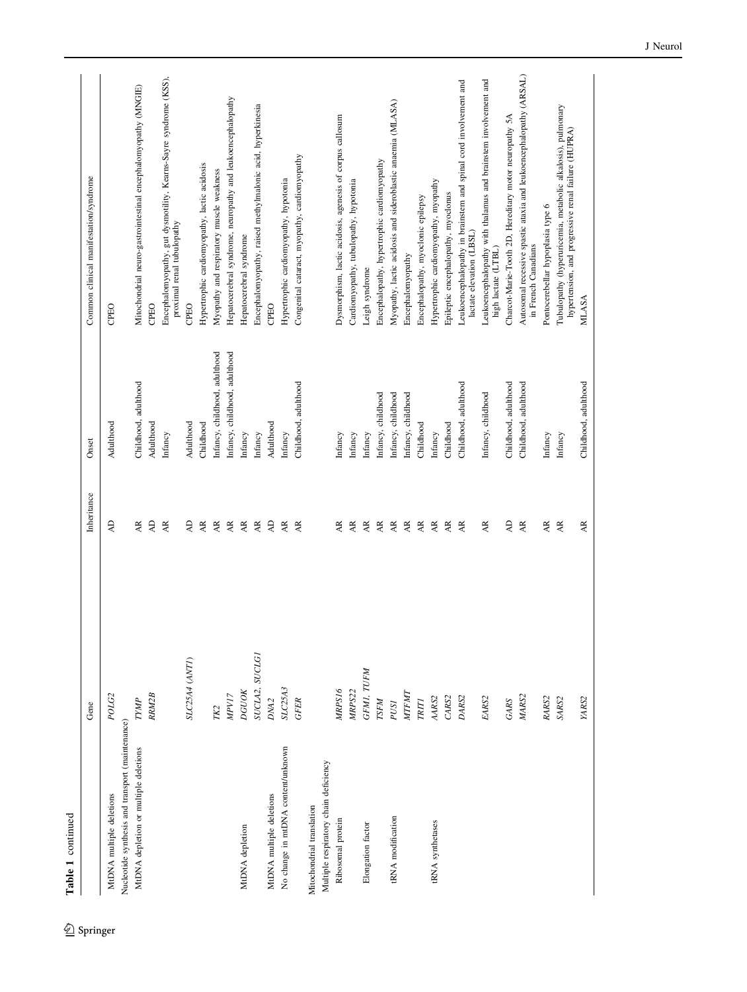Table 1 continued Table 1 continued

|                                                                              | Gene               | Inheritance                       | Onset                         | Common clinical manifestation/syndrome                                                                             |
|------------------------------------------------------------------------------|--------------------|-----------------------------------|-------------------------------|--------------------------------------------------------------------------------------------------------------------|
|                                                                              |                    |                                   |                               |                                                                                                                    |
| Nucleotide synthesis and transport (maintenance)<br>MtDNA multiple deletions | POLG <sub>2</sub>  | <b>QV</b>                         | Adulthood                     | CPEO                                                                                                               |
|                                                                              |                    |                                   | Childhood, adulthood          |                                                                                                                    |
| MtDNA depletion or multiple deletions                                        | TYMP               | <b>AR</b>                         |                               | Mitochondrial neuro-gastrointestinal encephalomyopathy (MNGIE)                                                     |
|                                                                              | RRM2B              | $\overline{A}$                    | Adulthood                     | CPEO                                                                                                               |
|                                                                              |                    | <b>AR</b>                         | Infancy                       | Encephalomyopathy, gut dysmotility, Kearns-Sayre syndrome (KSS),<br>proximal renal tubulopathy                     |
|                                                                              | SLC25A4 (ANTI)     | <b>AD</b>                         | Adulthood                     | CPEO                                                                                                               |
|                                                                              |                    | $\overline{AR}$                   | Childhood                     | Hypertrophic cardiomyopathy, lactic acidosis                                                                       |
|                                                                              | TK2                | <b>AR</b>                         | nfancy, childhood, adulthood  | Myopathy and respiratory muscle weakness                                                                           |
|                                                                              | MPV17              | $\overline{AR}$                   | Infancy, childhood, adulthood | Hepatocerebral syndrome, neuropathy and leukoencephalopathy                                                        |
| MtDNA depletion                                                              | <b>DGUOK</b>       | $\overline{AR}$                   | Infancy                       | Hepatocerebral syndrome                                                                                            |
|                                                                              | SUCLA2, SUCLGI     | <b>AR</b>                         | Infancy                       | Encephalomyopathy, raised methylmalonic acid, hyperkinesia                                                         |
| MtDNA multiple deletions                                                     | DNA <sub>2</sub>   | $\overline{A}$                    | Adulthood                     | <b>CPEO</b>                                                                                                        |
| No change in mtDNA content/unknown                                           | SLC25A3            | $\overline{AR}$                   | Infancy                       | Hypertrophic cardiomyopathy, hypotonia                                                                             |
|                                                                              | <b>GFER</b>        | <b>AR</b>                         | Childhood, adulthood          | Congenital cataract, myopathy, cardiomyopathy                                                                      |
| Mitochondrial translation                                                    |                    |                                   |                               |                                                                                                                    |
| Multiple respiratory chain deficiency                                        |                    |                                   |                               |                                                                                                                    |
| Ribosomal protein                                                            | MRPS16             | <b>AR</b>                         | Infancy                       | Dysmorphism, lactic acidosis, agenesis of corpus callosum                                                          |
|                                                                              | MRP <sub>S22</sub> | AR                                | Infancy                       | Cardiomyopathy, tubulopathy, hypotonia                                                                             |
| Elongation factor                                                            | GFMI, TUFM         | AR                                | Infancy                       | Leigh syndrome                                                                                                     |
|                                                                              | <b>LZEN</b>        | <b>AR</b>                         | Infancy, childhood            | Encephalopathy, hypertrophic cardiomyopathy                                                                        |
| tRNA modification                                                            | PUSI               | <b>AR</b>                         | infancy, childhood            | Myopathy, lactic acidosis and sideroblastic anaemia (MLASA)                                                        |
|                                                                              | <b>MTFMT</b>       | $\overline{AR}$                   | Infancy, childhood            | Encephalomyopathy                                                                                                  |
|                                                                              | <b>TRITI</b>       | $\overline{\mathbf{A}}\mathbf{R}$ | Childhood                     | Encephalopathy, myoclonic epilepsy                                                                                 |
| tRNA synthetases                                                             | AARS2              | $\overline{\mathbf{A}}\mathbf{R}$ | Infancy                       | Hypertrophic cardiomyopathy, myopathy                                                                              |
|                                                                              | CARS2              | <b>AR</b>                         | Childhood                     | Epileptic encephalopathy, myoclonus                                                                                |
|                                                                              | DARS2              | AR.                               | Childhood, adulthood          | Leukoencephalopathy in brainstem and spinal cord involvement and<br>lactate elevation (LBSL)                       |
|                                                                              | EARS2              | AR                                | Infancy, childhood            | Leukoencephalopathy with thalamus and brainstem involvement and<br>high lactate (LTBL)                             |
|                                                                              | GARS               | $\overline{A}$                    | Childhood, adulthood          | Charcot-Marie-Tooth 2D, Hereditary motor neuropathy 5A                                                             |
|                                                                              | MARS2              | <b>AR</b>                         | Childhood, adulthood          | Autosomal recessive spastic ataxia and leukoencephalopathy (ARSAL)<br>in French Canadians                          |
|                                                                              | RARS2              | AR                                | Infancy                       | Pontocerebellar hypoplasia type 6                                                                                  |
|                                                                              | SARS <sub>2</sub>  | <b>AR</b>                         | Infancy                       | Tubulopathy (hyperuricemia, metabolic alkalosis), pulmonary<br>hypertension, and progressive renal failure (HUPRA) |
|                                                                              | YARS2              | AR.                               | Childhood, adulthood          | <b>MLASA</b>                                                                                                       |
|                                                                              |                    |                                   |                               |                                                                                                                    |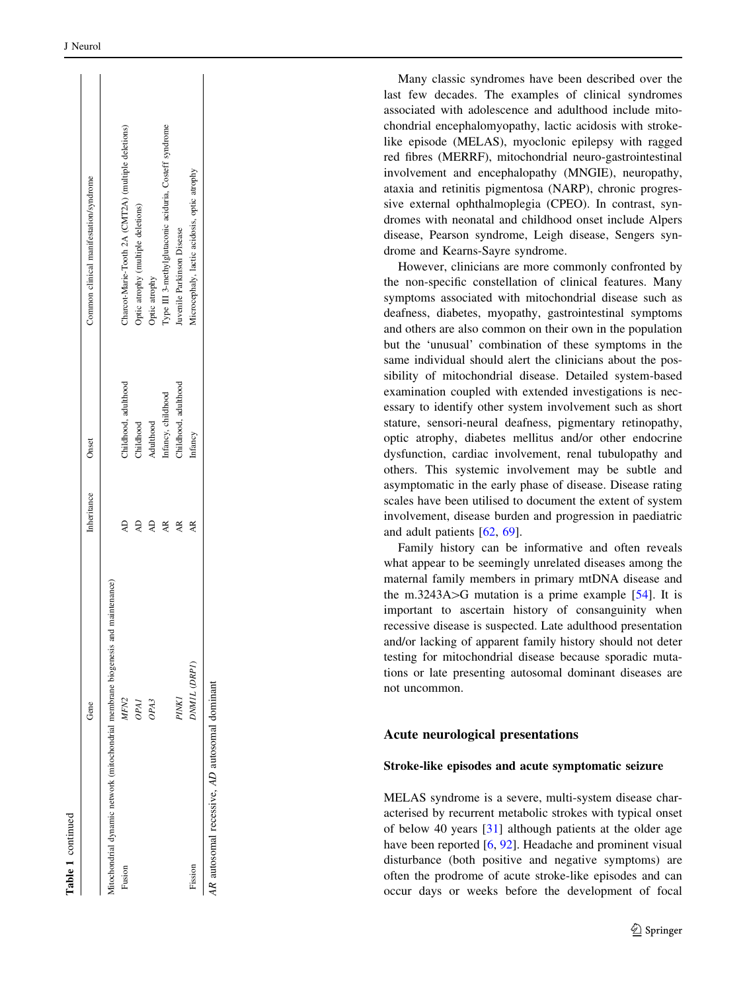|                                                                      | Gene             | Inheritance | Onset                | Common clinical manifestation/syndrome                 |
|----------------------------------------------------------------------|------------------|-------------|----------------------|--------------------------------------------------------|
| Aitochondrial dynamic network (mitochondrial membrane biogenesis and | maintenance)     |             |                      |                                                        |
| Fusion                                                               | MFN <sub>2</sub> | Q           | Childhood, adulthood | Charcot-Marie-Tooth 2A (CMT2A) (multiple deletions)    |
|                                                                      | OPAI             | ą           | Childhood            | Optic atrophy (multiple deletions)                     |
|                                                                      | OPA3             | Q           | Adulthood            | Optic atrophy                                          |
|                                                                      |                  | AR          | Infancy, childhood   | Type III 3-methylglutaconic aciduria, Costeff syndrome |
|                                                                      | <b>PINK1</b>     | ĄR          | Childhood, adulthood | Juvenile Parkinson Disease                             |
| Fission                                                              | DNMIL (DRPI)     | ĄR          | Infancy              | Microcephaly, lactic acidosis, optic atrophy           |
| AR autosomal recessive, AD autosomal dominant                        |                  |             |                      |                                                        |

Table 1 continued

continued

Many classic syndromes have been described over the last few decades. The examples of clinical syndromes associated with adolescence and adulthood include mitochondrial encephalomyopathy, lactic acidosis with strokelike episode (MELAS), myoclonic epilepsy with ragged red fibres (MERRF), mitochondrial neuro-gastrointestinal involvement and encephalopathy (MNGIE), neuropathy, ataxia and retinitis pigmentosa (NARP), chronic progressive external ophthalmoplegia (CPEO). In contrast, syndromes with neonatal and childhood onset include Alpers disease, Pearson syndrome, Leigh disease, Sengers syndrome and Kearns-Sayre syndrome.

However, clinicians are more commonly confronted by the non-specific constellation of clinical features. Many symptoms associated with mitochondrial disease such as deafness, diabetes, myopathy, gastrointestinal symptoms and others are also common on their own in the population but the 'unusual' combination of these symptoms in the same individual should alert the clinicians about the possibility of mitochondrial disease. Detailed system-based examination coupled with extended investigations is necessary to identify other system involvement such as short stature, sensori-neural deafness, pigmentary retinopathy, optic atrophy, diabetes mellitus and/or other endocrine dysfunction, cardiac involvement, renal tubulopathy and others. This systemic involvement may be subtle and asymptomatic in the early phase of disease. Disease rating scales have been utilised to document the extent of system involvement, disease burden and progression in paediatric and adult patients [\[62](#page-12-0) , [69\]](#page-12-0).

Family history can be informative and often reveals what appear to be seemingly unrelated diseases among the maternal family members in primary mtDNA disease and the m.3243A $>$ G mutation is a prime example [\[54](#page-11-0)]. It is important to ascertain history of consanguinity when recessive disease is suspected. Late adulthood presentation and/or lacking of apparent family history should not deter testing for mitochondrial disease because sporadic mutations or late presenting autosomal dominant diseases are not uncommon.

#### Acute neurological presentations

#### Stroke-like episodes and acute symptomatic seizure

MELAS syndrome is a severe, multi-system disease characterised by recurrent metabolic strokes with typical onset of below 40 years [[31\]](#page-11-0) although patients at the older age have been reported [[6](#page-10-0), [92\]](#page-13-0). Headache and prominent visual disturbance (both positive and negative symptoms) are often the prodrome of acute stroke-like episodes and can occur days or weeks before the development of focal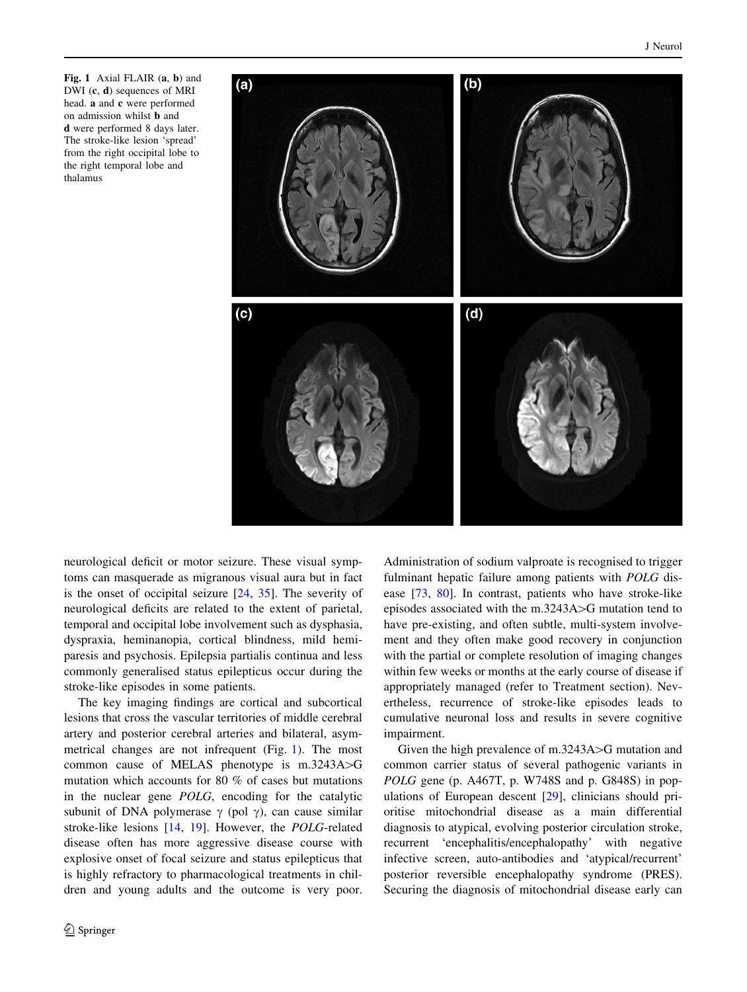Fig. 1 Axial FLAIR (a, b) and DWI (c, d) sequences of MRI head. a and c were performed on admission whilst b and d were performed 8 days later. The stroke-like lesion 'spread' from the right occipital lobe to the right temporal lobe and thalamus



neurological deficit or motor seizure. These visual symptoms can masquerade as migranous visual aura but in fact is the onset of occipital seizure [\[24](#page-10-0), [35\]](#page-11-0). The severity of neurological deficits are related to the extent of parietal, temporal and occipital lobe involvement such as dysphasia, dyspraxia, heminanopia, cortical blindness, mild hemiparesis and psychosis. Epilepsia partialis continua and less commonly generalised status epilepticus occur during the stroke-like episodes in some patients.

The key imaging findings are cortical and subcortical lesions that cross the vascular territories of middle cerebral artery and posterior cerebral arteries and bilateral, asymmetrical changes are not infrequent (Fig. 1). The most common cause of MELAS phenotype is  $m.3243A > G$ mutation which accounts for 80 % of cases but mutations in the nuclear gene POLG, encoding for the catalytic subunit of DNA polymerase  $\gamma$  (pol  $\gamma$ ), can cause similar stroke-like lesions [\[14](#page-10-0), [19](#page-10-0)]. However, the POLG-related disease often has more aggressive disease course with explosive onset of focal seizure and status epilepticus that is highly refractory to pharmacological treatments in children and young adults and the outcome is very poor.

Administration of sodium valproate is recognised to trigger fulminant hepatic failure among patients with POLG disease [\[73](#page-12-0), [80](#page-12-0)]. In contrast, patients who have stroke-like episodes associated with the m.3243A $>$ G mutation tend to have pre-existing, and often subtle, multi-system involvement and they often make good recovery in conjunction with the partial or complete resolution of imaging changes within few weeks or months at the early course of disease if appropriately managed (refer to Treatment section). Nevertheless, recurrence of stroke-like episodes leads to cumulative neuronal loss and results in severe cognitive impairment.

Given the high prevalence of  $m.3243A$  $>$ G mutation and common carrier status of several pathogenic variants in POLG gene (p. A467T, p. W748S and p. G848S) in populations of European descent [[29\]](#page-11-0), clinicians should prioritise mitochondrial disease as a main differential diagnosis to atypical, evolving posterior circulation stroke, recurrent 'encephalitis/encephalopathy' with negative infective screen, auto-antibodies and 'atypical/recurrent' posterior reversible encephalopathy syndrome (PRES). Securing the diagnosis of mitochondrial disease early can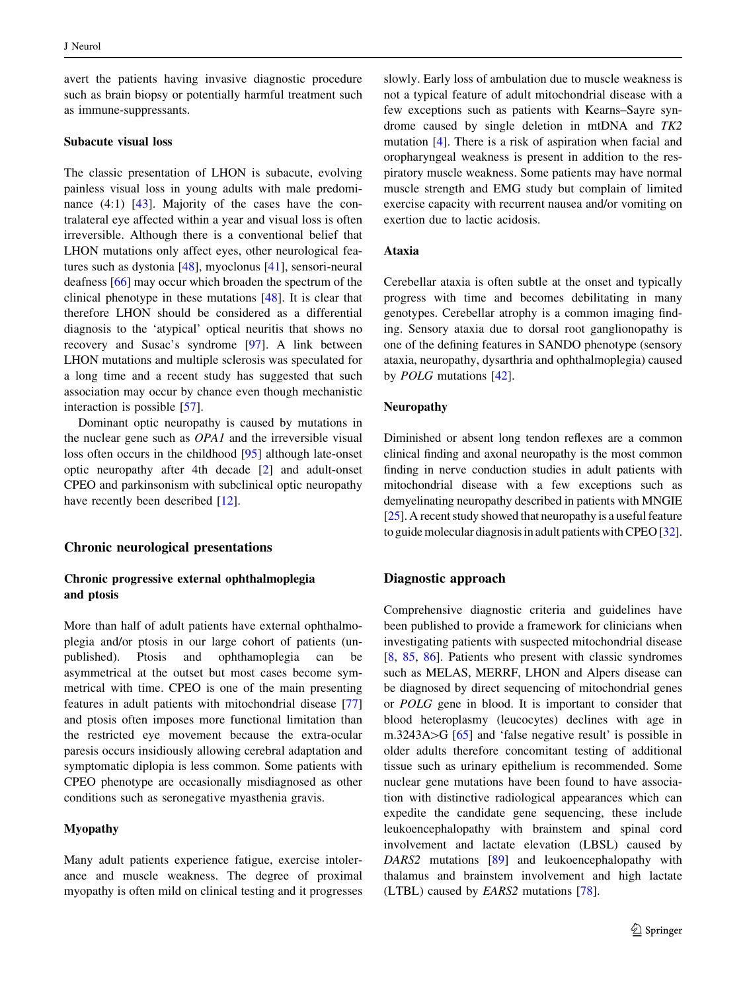avert the patients having invasive diagnostic procedure such as brain biopsy or potentially harmful treatment such as immune-suppressants.

#### Subacute visual loss

The classic presentation of LHON is subacute, evolving painless visual loss in young adults with male predominance  $(4:1)$   $[43]$  $[43]$ . Majority of the cases have the contralateral eye affected within a year and visual loss is often irreversible. Although there is a conventional belief that LHON mutations only affect eyes, other neurological features such as dystonia [\[48](#page-11-0)], myoclonus [[41\]](#page-11-0), sensori-neural deafness [\[66](#page-12-0)] may occur which broaden the spectrum of the clinical phenotype in these mutations [[48](#page-11-0)]. It is clear that therefore LHON should be considered as a differential diagnosis to the 'atypical' optical neuritis that shows no recovery and Susac's syndrome [[97\]](#page-13-0). A link between LHON mutations and multiple sclerosis was speculated for a long time and a recent study has suggested that such association may occur by chance even though mechanistic interaction is possible [[57\]](#page-12-0).

Dominant optic neuropathy is caused by mutations in the nuclear gene such as OPA1 and the irreversible visual loss often occurs in the childhood [\[95\]](#page-13-0) although late-onset optic neuropathy after 4th decade [\[2](#page-10-0)] and adult-onset CPEO and parkinsonism with subclinical optic neuropathy have recently been described [\[12](#page-10-0)].

#### Chronic neurological presentations

# Chronic progressive external ophthalmoplegia and ptosis

More than half of adult patients have external ophthalmoplegia and/or ptosis in our large cohort of patients (unpublished). Ptosis and ophthamoplegia can be asymmetrical at the outset but most cases become symmetrical with time. CPEO is one of the main presenting features in adult patients with mitochondrial disease [[77\]](#page-12-0) and ptosis often imposes more functional limitation than the restricted eye movement because the extra-ocular paresis occurs insidiously allowing cerebral adaptation and symptomatic diplopia is less common. Some patients with CPEO phenotype are occasionally misdiagnosed as other conditions such as seronegative myasthenia gravis.

#### Myopathy

Many adult patients experience fatigue, exercise intolerance and muscle weakness. The degree of proximal myopathy is often mild on clinical testing and it progresses slowly. Early loss of ambulation due to muscle weakness is not a typical feature of adult mitochondrial disease with a few exceptions such as patients with Kearns–Sayre syndrome caused by single deletion in mtDNA and TK2 mutation [\[4](#page-10-0)]. There is a risk of aspiration when facial and oropharyngeal weakness is present in addition to the respiratory muscle weakness. Some patients may have normal muscle strength and EMG study but complain of limited exercise capacity with recurrent nausea and/or vomiting on exertion due to lactic acidosis.

#### Ataxia

Cerebellar ataxia is often subtle at the onset and typically progress with time and becomes debilitating in many genotypes. Cerebellar atrophy is a common imaging finding. Sensory ataxia due to dorsal root ganglionopathy is one of the defining features in SANDO phenotype (sensory ataxia, neuropathy, dysarthria and ophthalmoplegia) caused by POLG mutations [[42\]](#page-11-0).

## Neuropathy

Diminished or absent long tendon reflexes are a common clinical finding and axonal neuropathy is the most common finding in nerve conduction studies in adult patients with mitochondrial disease with a few exceptions such as demyelinating neuropathy described in patients with MNGIE [\[25](#page-10-0)]. A recent study showed that neuropathy is a useful feature to guide molecular diagnosis in adult patients with CPEO [[32\]](#page-11-0).

#### Diagnostic approach

Comprehensive diagnostic criteria and guidelines have been published to provide a framework for clinicians when investigating patients with suspected mitochondrial disease [\[8](#page-10-0), [85](#page-12-0), [86\]](#page-12-0). Patients who present with classic syndromes such as MELAS, MERRF, LHON and Alpers disease can be diagnosed by direct sequencing of mitochondrial genes or POLG gene in blood. It is important to consider that blood heteroplasmy (leucocytes) declines with age in m.3243A $>$ G [\[65](#page-12-0)] and 'false negative result' is possible in older adults therefore concomitant testing of additional tissue such as urinary epithelium is recommended. Some nuclear gene mutations have been found to have association with distinctive radiological appearances which can expedite the candidate gene sequencing, these include leukoencephalopathy with brainstem and spinal cord involvement and lactate elevation (LBSL) caused by DARS2 mutations [\[89](#page-12-0)] and leukoencephalopathy with thalamus and brainstem involvement and high lactate (LTBL) caused by EARS2 mutations [[78\]](#page-12-0).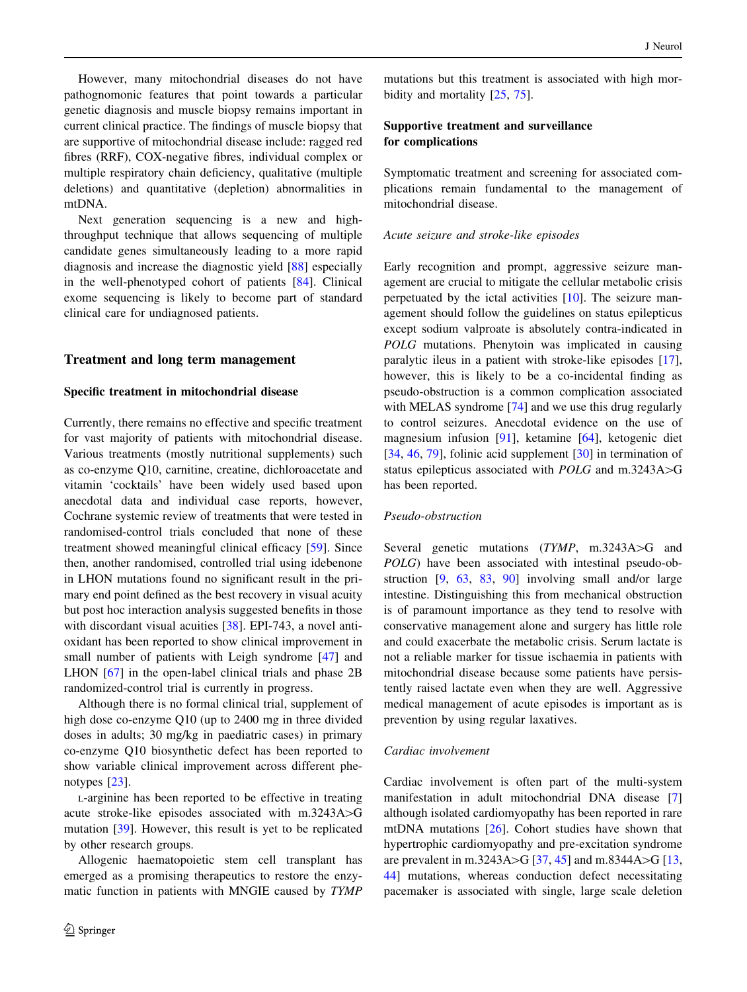However, many mitochondrial diseases do not have pathognomonic features that point towards a particular genetic diagnosis and muscle biopsy remains important in current clinical practice. The findings of muscle biopsy that are supportive of mitochondrial disease include: ragged red fibres (RRF), COX-negative fibres, individual complex or multiple respiratory chain deficiency, qualitative (multiple deletions) and quantitative (depletion) abnormalities in mtDNA.

Next generation sequencing is a new and highthroughput technique that allows sequencing of multiple candidate genes simultaneously leading to a more rapid diagnosis and increase the diagnostic yield [\[88](#page-12-0)] especially in the well-phenotyped cohort of patients [[84\]](#page-12-0). Clinical exome sequencing is likely to become part of standard clinical care for undiagnosed patients.

#### Treatment and long term management

#### Specific treatment in mitochondrial disease

Currently, there remains no effective and specific treatment for vast majority of patients with mitochondrial disease. Various treatments (mostly nutritional supplements) such as co-enzyme Q10, carnitine, creatine, dichloroacetate and vitamin 'cocktails' have been widely used based upon anecdotal data and individual case reports, however, Cochrane systemic review of treatments that were tested in randomised-control trials concluded that none of these treatment showed meaningful clinical efficacy [[59](#page-12-0)]. Since then, another randomised, controlled trial using idebenone in LHON mutations found no significant result in the primary end point defined as the best recovery in visual acuity but post hoc interaction analysis suggested benefits in those with discordant visual acuities [\[38](#page-11-0)]. EPI-743, a novel antioxidant has been reported to show clinical improvement in small number of patients with Leigh syndrome [\[47](#page-11-0)] and LHON [[67\]](#page-12-0) in the open-label clinical trials and phase 2B randomized-control trial is currently in progress.

Although there is no formal clinical trial, supplement of high dose co-enzyme Q10 (up to 2400 mg in three divided doses in adults; 30 mg/kg in paediatric cases) in primary co-enzyme Q10 biosynthetic defect has been reported to show variable clinical improvement across different phenotypes [[23\]](#page-10-0).

L-arginine has been reported to be effective in treating acute stroke-like episodes associated with  $m.3243A > G$ mutation [[39\]](#page-11-0). However, this result is yet to be replicated by other research groups.

Allogenic haematopoietic stem cell transplant has emerged as a promising therapeutics to restore the enzymatic function in patients with MNGIE caused by TYMP

mutations but this treatment is associated with high morbidity and mortality [\[25](#page-10-0), [75\]](#page-12-0).

# Supportive treatment and surveillance for complications

Symptomatic treatment and screening for associated complications remain fundamental to the management of mitochondrial disease.

#### Acute seizure and stroke-like episodes

Early recognition and prompt, aggressive seizure management are crucial to mitigate the cellular metabolic crisis perpetuated by the ictal activities [[10\]](#page-10-0). The seizure management should follow the guidelines on status epilepticus except sodium valproate is absolutely contra-indicated in POLG mutations. Phenytoin was implicated in causing paralytic ileus in a patient with stroke-like episodes [\[17](#page-10-0)], however, this is likely to be a co-incidental finding as pseudo-obstruction is a common complication associated with MELAS syndrome [[74\]](#page-12-0) and we use this drug regularly to control seizures. Anecdotal evidence on the use of magnesium infusion [\[91](#page-13-0)], ketamine [\[64](#page-12-0)], ketogenic diet [\[34](#page-11-0), [46,](#page-11-0) [79](#page-12-0)], folinic acid supplement [[30\]](#page-11-0) in termination of status epilepticus associated with  $POLG$  and m.3243A $>$ G has been reported.

#### Pseudo-obstruction

Several genetic mutations  $(TYMP, m.3243A > G$  and POLG) have been associated with intestinal pseudo-obstruction [[9,](#page-10-0) [63](#page-12-0), [83,](#page-12-0) [90](#page-13-0)] involving small and/or large intestine. Distinguishing this from mechanical obstruction is of paramount importance as they tend to resolve with conservative management alone and surgery has little role and could exacerbate the metabolic crisis. Serum lactate is not a reliable marker for tissue ischaemia in patients with mitochondrial disease because some patients have persistently raised lactate even when they are well. Aggressive medical management of acute episodes is important as is prevention by using regular laxatives.

#### Cardiac involvement

Cardiac involvement is often part of the multi-system manifestation in adult mitochondrial DNA disease [[7\]](#page-10-0) although isolated cardiomyopathy has been reported in rare mtDNA mutations [\[26](#page-10-0)]. Cohort studies have shown that hypertrophic cardiomyopathy and pre-excitation syndrome are prevalent in m.3243A $>$ G [[37](#page-11-0), [45](#page-11-0)] and m.8344A $>$ G [[13,](#page-10-0) [44](#page-11-0)] mutations, whereas conduction defect necessitating pacemaker is associated with single, large scale deletion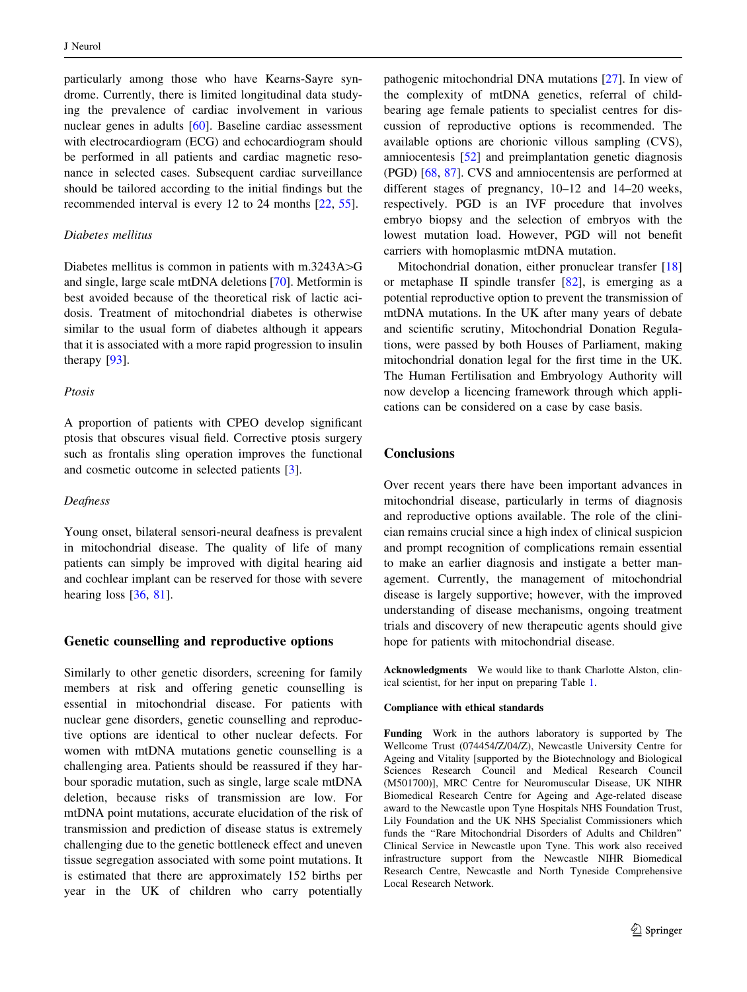particularly among those who have Kearns-Sayre syndrome. Currently, there is limited longitudinal data studying the prevalence of cardiac involvement in various nuclear genes in adults [[60\]](#page-12-0). Baseline cardiac assessment with electrocardiogram (ECG) and echocardiogram should be performed in all patients and cardiac magnetic resonance in selected cases. Subsequent cardiac surveillance should be tailored according to the initial findings but the recommended interval is every 12 to 24 months [\[22](#page-10-0), [55](#page-11-0)].

## Diabetes mellitus

Diabetes mellitus is common in patients with  $m.3243A > G$ and single, large scale mtDNA deletions [\[70](#page-12-0)]. Metformin is best avoided because of the theoretical risk of lactic acidosis. Treatment of mitochondrial diabetes is otherwise similar to the usual form of diabetes although it appears that it is associated with a more rapid progression to insulin therapy [[93\]](#page-13-0).

#### Ptosis

A proportion of patients with CPEO develop significant ptosis that obscures visual field. Corrective ptosis surgery such as frontalis sling operation improves the functional and cosmetic outcome in selected patients [\[3](#page-10-0)].

#### Deafness

Young onset, bilateral sensori-neural deafness is prevalent in mitochondrial disease. The quality of life of many patients can simply be improved with digital hearing aid and cochlear implant can be reserved for those with severe hearing loss [[36,](#page-11-0) [81](#page-12-0)].

## Genetic counselling and reproductive options

Similarly to other genetic disorders, screening for family members at risk and offering genetic counselling is essential in mitochondrial disease. For patients with nuclear gene disorders, genetic counselling and reproductive options are identical to other nuclear defects. For women with mtDNA mutations genetic counselling is a challenging area. Patients should be reassured if they harbour sporadic mutation, such as single, large scale mtDNA deletion, because risks of transmission are low. For mtDNA point mutations, accurate elucidation of the risk of transmission and prediction of disease status is extremely challenging due to the genetic bottleneck effect and uneven tissue segregation associated with some point mutations. It is estimated that there are approximately 152 births per year in the UK of children who carry potentially

pathogenic mitochondrial DNA mutations [\[27](#page-10-0)]. In view of the complexity of mtDNA genetics, referral of childbearing age female patients to specialist centres for discussion of reproductive options is recommended. The available options are chorionic villous sampling (CVS), amniocentesis [\[52](#page-11-0)] and preimplantation genetic diagnosis (PGD) [[68,](#page-12-0) [87](#page-12-0)]. CVS and amniocentensis are performed at different stages of pregnancy, 10–12 and 14–20 weeks, respectively. PGD is an IVF procedure that involves embryo biopsy and the selection of embryos with the lowest mutation load. However, PGD will not benefit carriers with homoplasmic mtDNA mutation.

Mitochondrial donation, either pronuclear transfer [[18\]](#page-10-0) or metaphase II spindle transfer [\[82](#page-12-0)], is emerging as a potential reproductive option to prevent the transmission of mtDNA mutations. In the UK after many years of debate and scientific scrutiny, Mitochondrial Donation Regulations, were passed by both Houses of Parliament, making mitochondrial donation legal for the first time in the UK. The Human Fertilisation and Embryology Authority will now develop a licencing framework through which applications can be considered on a case by case basis.

# **Conclusions**

Over recent years there have been important advances in mitochondrial disease, particularly in terms of diagnosis and reproductive options available. The role of the clinician remains crucial since a high index of clinical suspicion and prompt recognition of complications remain essential to make an earlier diagnosis and instigate a better management. Currently, the management of mitochondrial disease is largely supportive; however, with the improved understanding of disease mechanisms, ongoing treatment trials and discovery of new therapeutic agents should give hope for patients with mitochondrial disease.

Acknowledgments We would like to thank Charlotte Alston, clinical scientist, for her input on preparing Table [1.](#page-3-0)

#### Compliance with ethical standards

Funding Work in the authors laboratory is supported by The Wellcome Trust (074454/Z/04/Z), Newcastle University Centre for Ageing and Vitality [supported by the Biotechnology and Biological Sciences Research Council and Medical Research Council (M501700)], MRC Centre for Neuromuscular Disease, UK NIHR Biomedical Research Centre for Ageing and Age-related disease award to the Newcastle upon Tyne Hospitals NHS Foundation Trust, Lily Foundation and the UK NHS Specialist Commissioners which funds the ''Rare Mitochondrial Disorders of Adults and Children'' Clinical Service in Newcastle upon Tyne. This work also received infrastructure support from the Newcastle NIHR Biomedical Research Centre, Newcastle and North Tyneside Comprehensive Local Research Network.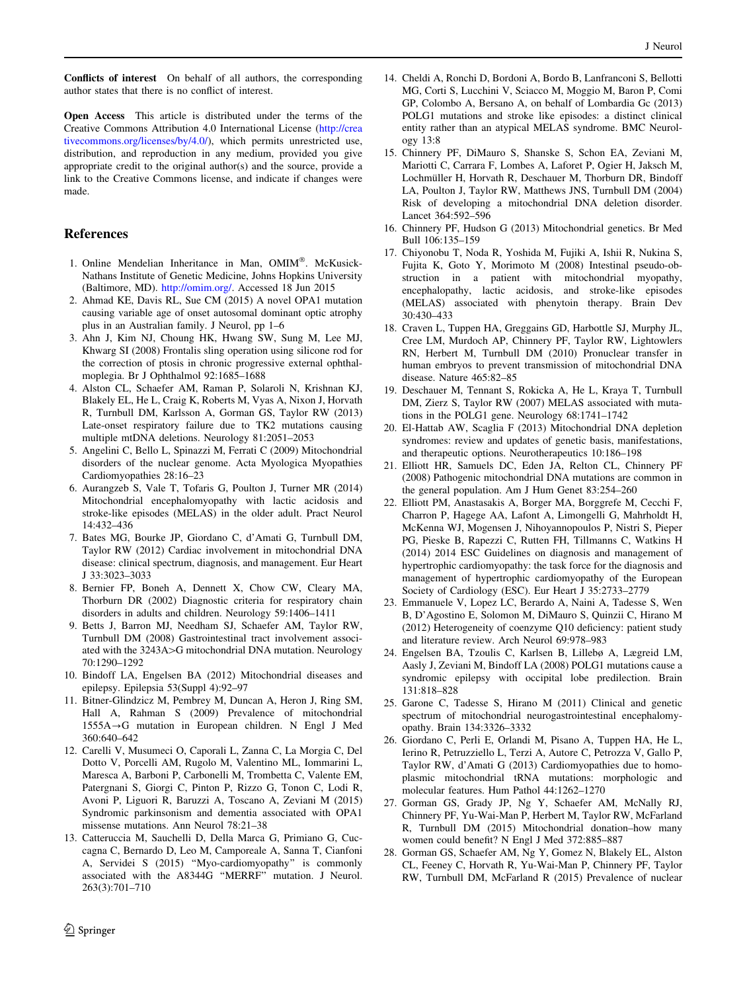<span id="page-10-0"></span>Conflicts of interest On behalf of all authors, the corresponding author states that there is no conflict of interest.

Open Access This article is distributed under the terms of the Creative Commons Attribution 4.0 International License ([http://crea](http://creativecommons.org/licenses/by/4.0/) [tivecommons.org/licenses/by/4.0/\)](http://creativecommons.org/licenses/by/4.0/), which permits unrestricted use, distribution, and reproduction in any medium, provided you give appropriate credit to the original author(s) and the source, provide a link to the Creative Commons license, and indicate if changes were made.

#### References

- 1. Online Mendelian Inheritance in Man, OMIM®. McKusick-Nathans Institute of Genetic Medicine, Johns Hopkins University (Baltimore, MD). [http://omim.org/.](http://omim.org/) Accessed 18 Jun 2015
- 2. Ahmad KE, Davis RL, Sue CM (2015) A novel OPA1 mutation causing variable age of onset autosomal dominant optic atrophy plus in an Australian family. J Neurol, pp 1–6
- 3. Ahn J, Kim NJ, Choung HK, Hwang SW, Sung M, Lee MJ, Khwarg SI (2008) Frontalis sling operation using silicone rod for the correction of ptosis in chronic progressive external ophthalmoplegia. Br J Ophthalmol 92:1685–1688
- 4. Alston CL, Schaefer AM, Raman P, Solaroli N, Krishnan KJ, Blakely EL, He L, Craig K, Roberts M, Vyas A, Nixon J, Horvath R, Turnbull DM, Karlsson A, Gorman GS, Taylor RW (2013) Late-onset respiratory failure due to TK2 mutations causing multiple mtDNA deletions. Neurology 81:2051–2053
- 5. Angelini C, Bello L, Spinazzi M, Ferrati C (2009) Mitochondrial disorders of the nuclear genome. Acta Myologica Myopathies Cardiomyopathies 28:16–23
- 6. Aurangzeb S, Vale T, Tofaris G, Poulton J, Turner MR (2014) Mitochondrial encephalomyopathy with lactic acidosis and stroke-like episodes (MELAS) in the older adult. Pract Neurol 14:432–436
- 7. Bates MG, Bourke JP, Giordano C, d'Amati G, Turnbull DM, Taylor RW (2012) Cardiac involvement in mitochondrial DNA disease: clinical spectrum, diagnosis, and management. Eur Heart J 33:3023–3033
- 8. Bernier FP, Boneh A, Dennett X, Chow CW, Cleary MA, Thorburn DR (2002) Diagnostic criteria for respiratory chain disorders in adults and children. Neurology 59:1406–1411
- 9. Betts J, Barron MJ, Needham SJ, Schaefer AM, Taylor RW, Turnbull DM (2008) Gastrointestinal tract involvement associated with the 3243A>G mitochondrial DNA mutation. Neurology 70:1290–1292
- 10. Bindoff LA, Engelsen BA (2012) Mitochondrial diseases and epilepsy. Epilepsia 53(Suppl 4):92–97
- 11. Bitner-Glindzicz M, Pembrey M, Duncan A, Heron J, Ring SM, Hall A, Rahman S (2009) Prevalence of mitochondrial  $1555A \rightarrow G$  mutation in European children. N Engl J Med 360:640–642
- 12. Carelli V, Musumeci O, Caporali L, Zanna C, La Morgia C, Del Dotto V, Porcelli AM, Rugolo M, Valentino ML, Iommarini L, Maresca A, Barboni P, Carbonelli M, Trombetta C, Valente EM, Patergnani S, Giorgi C, Pinton P, Rizzo G, Tonon C, Lodi R, Avoni P, Liguori R, Baruzzi A, Toscano A, Zeviani M (2015) Syndromic parkinsonism and dementia associated with OPA1 missense mutations. Ann Neurol 78:21–38
- 13. Catteruccia M, Sauchelli D, Della Marca G, Primiano G, Cuccagna C, Bernardo D, Leo M, Camporeale A, Sanna T, Cianfoni A, Servidei S (2015) ''Myo-cardiomyopathy'' is commonly associated with the A8344G ''MERRF'' mutation. J Neurol. 263(3):701–710
- 14. Cheldi A, Ronchi D, Bordoni A, Bordo B, Lanfranconi S, Bellotti MG, Corti S, Lucchini V, Sciacco M, Moggio M, Baron P, Comi GP, Colombo A, Bersano A, on behalf of Lombardia Gc (2013) POLG1 mutations and stroke like episodes: a distinct clinical entity rather than an atypical MELAS syndrome. BMC Neurology 13:8
- 15. Chinnery PF, DiMauro S, Shanske S, Schon EA, Zeviani M, Mariotti C, Carrara F, Lombes A, Laforet P, Ogier H, Jaksch M, Lochmüller H, Horvath R, Deschauer M, Thorburn DR, Bindoff LA, Poulton J, Taylor RW, Matthews JNS, Turnbull DM (2004) Risk of developing a mitochondrial DNA deletion disorder. Lancet 364:592–596
- 16. Chinnery PF, Hudson G (2013) Mitochondrial genetics. Br Med Bull 106:135–159
- 17. Chiyonobu T, Noda R, Yoshida M, Fujiki A, Ishii R, Nukina S, Fujita K, Goto Y, Morimoto M (2008) Intestinal pseudo-obstruction in a patient with mitochondrial myopathy, encephalopathy, lactic acidosis, and stroke-like episodes (MELAS) associated with phenytoin therapy. Brain Dev 30:430–433
- 18. Craven L, Tuppen HA, Greggains GD, Harbottle SJ, Murphy JL, Cree LM, Murdoch AP, Chinnery PF, Taylor RW, Lightowlers RN, Herbert M, Turnbull DM (2010) Pronuclear transfer in human embryos to prevent transmission of mitochondrial DNA disease. Nature 465:82–85
- 19. Deschauer M, Tennant S, Rokicka A, He L, Kraya T, Turnbull DM, Zierz S, Taylor RW (2007) MELAS associated with mutations in the POLG1 gene. Neurology 68:1741–1742
- 20. El-Hattab AW, Scaglia F (2013) Mitochondrial DNA depletion syndromes: review and updates of genetic basis, manifestations, and therapeutic options. Neurotherapeutics 10:186–198
- 21. Elliott HR, Samuels DC, Eden JA, Relton CL, Chinnery PF (2008) Pathogenic mitochondrial DNA mutations are common in the general population. Am J Hum Genet 83:254–260
- 22. Elliott PM, Anastasakis A, Borger MA, Borggrefe M, Cecchi F, Charron P, Hagege AA, Lafont A, Limongelli G, Mahrholdt H, McKenna WJ, Mogensen J, Nihoyannopoulos P, Nistri S, Pieper PG, Pieske B, Rapezzi C, Rutten FH, Tillmanns C, Watkins H (2014) 2014 ESC Guidelines on diagnosis and management of hypertrophic cardiomyopathy: the task force for the diagnosis and management of hypertrophic cardiomyopathy of the European Society of Cardiology (ESC). Eur Heart J 35:2733–2779
- 23. Emmanuele V, Lopez LC, Berardo A, Naini A, Tadesse S, Wen B, D'Agostino E, Solomon M, DiMauro S, Quinzii C, Hirano M (2012) Heterogeneity of coenzyme Q10 deficiency: patient study and literature review. Arch Neurol 69:978–983
- 24. Engelsen BA, Tzoulis C, Karlsen B, Lillebø A, Lægreid LM, Aasly J, Zeviani M, Bindoff LA (2008) POLG1 mutations cause a syndromic epilepsy with occipital lobe predilection. Brain 131:818–828
- 25. Garone C, Tadesse S, Hirano M (2011) Clinical and genetic spectrum of mitochondrial neurogastrointestinal encephalomyopathy. Brain 134:3326–3332
- 26. Giordano C, Perli E, Orlandi M, Pisano A, Tuppen HA, He L, Ierino R, Petruzziello L, Terzi A, Autore C, Petrozza V, Gallo P, Taylor RW, d'Amati G (2013) Cardiomyopathies due to homoplasmic mitochondrial tRNA mutations: morphologic and molecular features. Hum Pathol 44:1262–1270
- 27. Gorman GS, Grady JP, Ng Y, Schaefer AM, McNally RJ, Chinnery PF, Yu-Wai-Man P, Herbert M, Taylor RW, McFarland R, Turnbull DM (2015) Mitochondrial donation–how many women could benefit? N Engl J Med 372:885–887
- 28. Gorman GS, Schaefer AM, Ng Y, Gomez N, Blakely EL, Alston CL, Feeney C, Horvath R, Yu-Wai-Man P, Chinnery PF, Taylor RW, Turnbull DM, McFarland R (2015) Prevalence of nuclear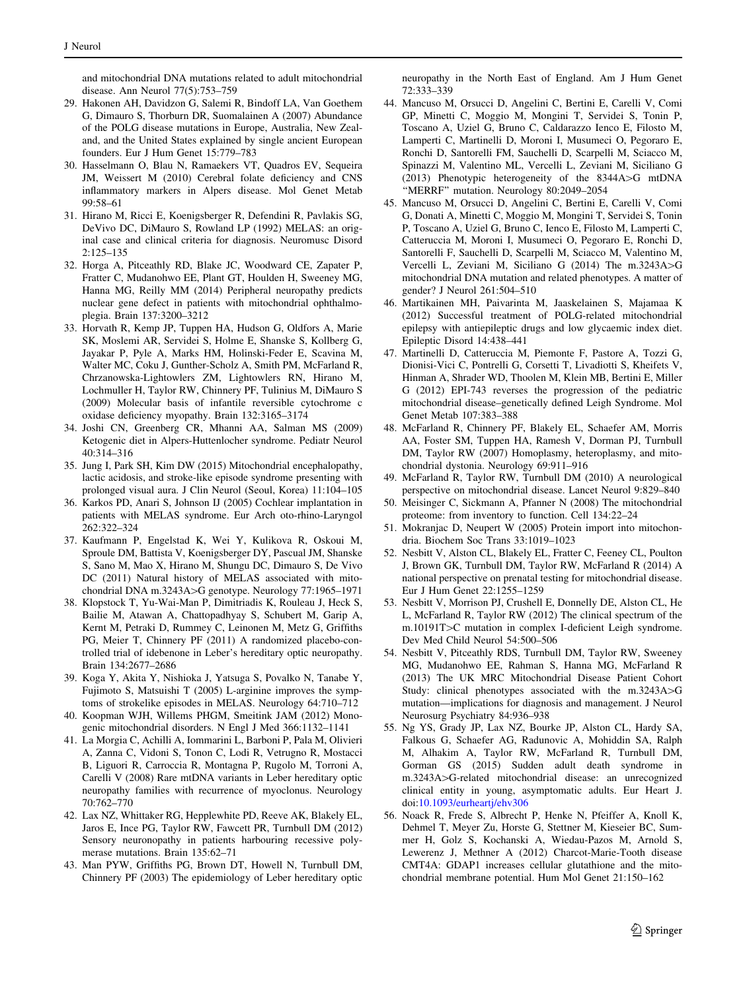<span id="page-11-0"></span>and mitochondrial DNA mutations related to adult mitochondrial disease. Ann Neurol 77(5):753–759

- 29. Hakonen AH, Davidzon G, Salemi R, Bindoff LA, Van Goethem G, Dimauro S, Thorburn DR, Suomalainen A (2007) Abundance of the POLG disease mutations in Europe, Australia, New Zealand, and the United States explained by single ancient European founders. Eur J Hum Genet 15:779–783
- 30. Hasselmann O, Blau N, Ramaekers VT, Quadros EV, Sequeira JM, Weissert M (2010) Cerebral folate deficiency and CNS inflammatory markers in Alpers disease. Mol Genet Metab 99:58–61
- 31. Hirano M, Ricci E, Koenigsberger R, Defendini R, Pavlakis SG, DeVivo DC, DiMauro S, Rowland LP (1992) MELAS: an original case and clinical criteria for diagnosis. Neuromusc Disord 2:125–135
- 32. Horga A, Pitceathly RD, Blake JC, Woodward CE, Zapater P, Fratter C, Mudanohwo EE, Plant GT, Houlden H, Sweeney MG, Hanna MG, Reilly MM (2014) Peripheral neuropathy predicts nuclear gene defect in patients with mitochondrial ophthalmoplegia. Brain 137:3200–3212
- 33. Horvath R, Kemp JP, Tuppen HA, Hudson G, Oldfors A, Marie SK, Moslemi AR, Servidei S, Holme E, Shanske S, Kollberg G, Jayakar P, Pyle A, Marks HM, Holinski-Feder E, Scavina M, Walter MC, Coku J, Gunther-Scholz A, Smith PM, McFarland R, Chrzanowska-Lightowlers ZM, Lightowlers RN, Hirano M, Lochmuller H, Taylor RW, Chinnery PF, Tulinius M, DiMauro S (2009) Molecular basis of infantile reversible cytochrome c oxidase deficiency myopathy. Brain 132:3165–3174
- 34. Joshi CN, Greenberg CR, Mhanni AA, Salman MS (2009) Ketogenic diet in Alpers-Huttenlocher syndrome. Pediatr Neurol 40:314–316
- 35. Jung I, Park SH, Kim DW (2015) Mitochondrial encephalopathy, lactic acidosis, and stroke-like episode syndrome presenting with prolonged visual aura. J Clin Neurol (Seoul, Korea) 11:104–105
- 36. Karkos PD, Anari S, Johnson IJ (2005) Cochlear implantation in patients with MELAS syndrome. Eur Arch oto-rhino-Laryngol 262:322–324
- 37. Kaufmann P, Engelstad K, Wei Y, Kulikova R, Oskoui M, Sproule DM, Battista V, Koenigsberger DY, Pascual JM, Shanske S, Sano M, Mao X, Hirano M, Shungu DC, Dimauro S, De Vivo DC (2011) Natural history of MELAS associated with mitochondrial DNA m.3243A>G genotype. Neurology 77:1965–1971
- 38. Klopstock T, Yu-Wai-Man P, Dimitriadis K, Rouleau J, Heck S, Bailie M, Atawan A, Chattopadhyay S, Schubert M, Garip A, Kernt M, Petraki D, Rummey C, Leinonen M, Metz G, Griffiths PG, Meier T, Chinnery PF (2011) A randomized placebo-controlled trial of idebenone in Leber's hereditary optic neuropathy. Brain 134:2677–2686
- 39. Koga Y, Akita Y, Nishioka J, Yatsuga S, Povalko N, Tanabe Y, Fujimoto S, Matsuishi T (2005) L-arginine improves the symptoms of strokelike episodes in MELAS. Neurology 64:710–712
- 40. Koopman WJH, Willems PHGM, Smeitink JAM (2012) Monogenic mitochondrial disorders. N Engl J Med 366:1132–1141
- 41. La Morgia C, Achilli A, Iommarini L, Barboni P, Pala M, Olivieri A, Zanna C, Vidoni S, Tonon C, Lodi R, Vetrugno R, Mostacci B, Liguori R, Carroccia R, Montagna P, Rugolo M, Torroni A, Carelli V (2008) Rare mtDNA variants in Leber hereditary optic neuropathy families with recurrence of myoclonus. Neurology 70:762–770
- 42. Lax NZ, Whittaker RG, Hepplewhite PD, Reeve AK, Blakely EL, Jaros E, Ince PG, Taylor RW, Fawcett PR, Turnbull DM (2012) Sensory neuronopathy in patients harbouring recessive polymerase mutations. Brain 135:62–71
- 43. Man PYW, Griffiths PG, Brown DT, Howell N, Turnbull DM, Chinnery PF (2003) The epidemiology of Leber hereditary optic

neuropathy in the North East of England. Am J Hum Genet 72:333–339

- 44. Mancuso M, Orsucci D, Angelini C, Bertini E, Carelli V, Comi GP, Minetti C, Moggio M, Mongini T, Servidei S, Tonin P, Toscano A, Uziel G, Bruno C, Caldarazzo Ienco E, Filosto M, Lamperti C, Martinelli D, Moroni I, Musumeci O, Pegoraro E, Ronchi D, Santorelli FM, Sauchelli D, Scarpelli M, Sciacco M, Spinazzi M, Valentino ML, Vercelli L, Zeviani M, Siciliano G (2013) Phenotypic heterogeneity of the  $8344A > G$  mtDNA ''MERRF'' mutation. Neurology 80:2049–2054
- 45. Mancuso M, Orsucci D, Angelini C, Bertini E, Carelli V, Comi G, Donati A, Minetti C, Moggio M, Mongini T, Servidei S, Tonin P, Toscano A, Uziel G, Bruno C, Ienco E, Filosto M, Lamperti C, Catteruccia M, Moroni I, Musumeci O, Pegoraro E, Ronchi D, Santorelli F, Sauchelli D, Scarpelli M, Sciacco M, Valentino M, Vercelli L, Zeviani M, Siciliano G (2014) The m.3243A>G mitochondrial DNA mutation and related phenotypes. A matter of gender? J Neurol 261:504–510
- 46. Martikainen MH, Paivarinta M, Jaaskelainen S, Majamaa K (2012) Successful treatment of POLG-related mitochondrial epilepsy with antiepileptic drugs and low glycaemic index diet. Epileptic Disord 14:438–441
- 47. Martinelli D, Catteruccia M, Piemonte F, Pastore A, Tozzi G, Dionisi-Vici C, Pontrelli G, Corsetti T, Livadiotti S, Kheifets V, Hinman A, Shrader WD, Thoolen M, Klein MB, Bertini E, Miller G (2012) EPI-743 reverses the progression of the pediatric mitochondrial disease–genetically defined Leigh Syndrome. Mol Genet Metab 107:383–388
- 48. McFarland R, Chinnery PF, Blakely EL, Schaefer AM, Morris AA, Foster SM, Tuppen HA, Ramesh V, Dorman PJ, Turnbull DM, Taylor RW (2007) Homoplasmy, heteroplasmy, and mitochondrial dystonia. Neurology 69:911–916
- 49. McFarland R, Taylor RW, Turnbull DM (2010) A neurological perspective on mitochondrial disease. Lancet Neurol 9:829–840
- 50. Meisinger C, Sickmann A, Pfanner N (2008) The mitochondrial proteome: from inventory to function. Cell 134:22–24
- 51. Mokranjac D, Neupert W (2005) Protein import into mitochondria. Biochem Soc Trans 33:1019–1023
- 52. Nesbitt V, Alston CL, Blakely EL, Fratter C, Feeney CL, Poulton J, Brown GK, Turnbull DM, Taylor RW, McFarland R (2014) A national perspective on prenatal testing for mitochondrial disease. Eur J Hum Genet 22:1255–1259
- 53. Nesbitt V, Morrison PJ, Crushell E, Donnelly DE, Alston CL, He L, McFarland R, Taylor RW (2012) The clinical spectrum of the m.10191T>C mutation in complex I-deficient Leigh syndrome. Dev Med Child Neurol 54:500–506
- 54. Nesbitt V, Pitceathly RDS, Turnbull DM, Taylor RW, Sweeney MG, Mudanohwo EE, Rahman S, Hanna MG, McFarland R (2013) The UK MRC Mitochondrial Disease Patient Cohort Study: clinical phenotypes associated with the m.3243A>G mutation—implications for diagnosis and management. J Neurol Neurosurg Psychiatry 84:936–938
- 55. Ng YS, Grady JP, Lax NZ, Bourke JP, Alston CL, Hardy SA, Falkous G, Schaefer AG, Radunovic A, Mohiddin SA, Ralph M, Alhakim A, Taylor RW, McFarland R, Turnbull DM, Gorman GS (2015) Sudden adult death syndrome in m.3243A>G-related mitochondrial disease: an unrecognized clinical entity in young, asymptomatic adults. Eur Heart J. doi:[10.1093/eurheartj/ehv306](http://dx.doi.org/10.1093/eurheartj/ehv306)
- 56. Noack R, Frede S, Albrecht P, Henke N, Pfeiffer A, Knoll K, Dehmel T, Meyer Zu, Horste G, Stettner M, Kieseier BC, Summer H, Golz S, Kochanski A, Wiedau-Pazos M, Arnold S, Lewerenz J, Methner A (2012) Charcot-Marie-Tooth disease CMT4A: GDAP1 increases cellular glutathione and the mitochondrial membrane potential. Hum Mol Genet 21:150–162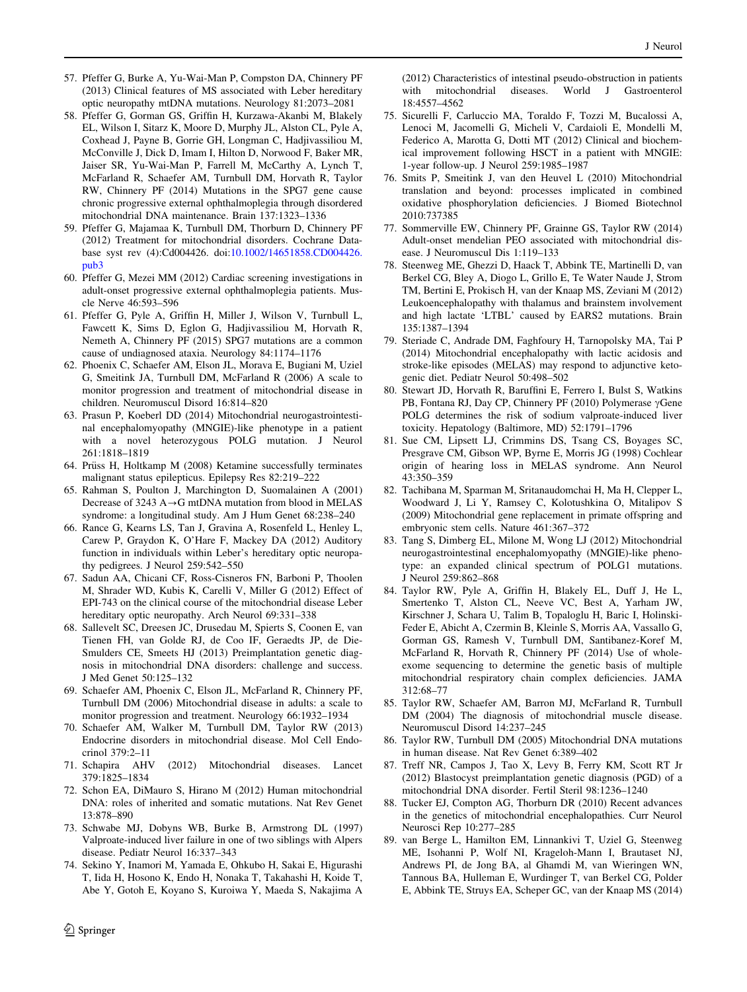- <span id="page-12-0"></span>57. Pfeffer G, Burke A, Yu-Wai-Man P, Compston DA, Chinnery PF (2013) Clinical features of MS associated with Leber hereditary optic neuropathy mtDNA mutations. Neurology 81:2073–2081
- 58. Pfeffer G, Gorman GS, Griffin H, Kurzawa-Akanbi M, Blakely EL, Wilson I, Sitarz K, Moore D, Murphy JL, Alston CL, Pyle A, Coxhead J, Payne B, Gorrie GH, Longman C, Hadjivassiliou M, McConville J, Dick D, Imam I, Hilton D, Norwood F, Baker MR, Jaiser SR, Yu-Wai-Man P, Farrell M, McCarthy A, Lynch T, McFarland R, Schaefer AM, Turnbull DM, Horvath R, Taylor RW, Chinnery PF (2014) Mutations in the SPG7 gene cause chronic progressive external ophthalmoplegia through disordered mitochondrial DNA maintenance. Brain 137:1323–1336
- 59. Pfeffer G, Majamaa K, Turnbull DM, Thorburn D, Chinnery PF (2012) Treatment for mitochondrial disorders. Cochrane Database syst rev (4):Cd004426. doi:[10.1002/14651858.CD004426.](http://dx.doi.org/10.1002/14651858.CD004426.pub3) [pub3](http://dx.doi.org/10.1002/14651858.CD004426.pub3)
- 60. Pfeffer G, Mezei MM (2012) Cardiac screening investigations in adult-onset progressive external ophthalmoplegia patients. Muscle Nerve 46:593–596
- 61. Pfeffer G, Pyle A, Griffin H, Miller J, Wilson V, Turnbull L, Fawcett K, Sims D, Eglon G, Hadjivassiliou M, Horvath R, Nemeth A, Chinnery PF (2015) SPG7 mutations are a common cause of undiagnosed ataxia. Neurology 84:1174–1176
- 62. Phoenix C, Schaefer AM, Elson JL, Morava E, Bugiani M, Uziel G, Smeitink JA, Turnbull DM, McFarland R (2006) A scale to monitor progression and treatment of mitochondrial disease in children. Neuromuscul Disord 16:814–820
- 63. Prasun P, Koeberl DD (2014) Mitochondrial neurogastrointestinal encephalomyopathy (MNGIE)-like phenotype in a patient with a novel heterozygous POLG mutation. J Neurol 261:1818–1819
- 64. Prüss H, Holtkamp M (2008) Ketamine successfully terminates malignant status epilepticus. Epilepsy Res 82:219–222
- 65. Rahman S, Poulton J, Marchington D, Suomalainen A (2001) Decrease of 3243  $A \rightarrow G$  mtDNA mutation from blood in MELAS syndrome: a longitudinal study. Am J Hum Genet 68:238–240
- 66. Rance G, Kearns LS, Tan J, Gravina A, Rosenfeld L, Henley L, Carew P, Graydon K, O'Hare F, Mackey DA (2012) Auditory function in individuals within Leber's hereditary optic neuropathy pedigrees. J Neurol 259:542–550
- 67. Sadun AA, Chicani CF, Ross-Cisneros FN, Barboni P, Thoolen M, Shrader WD, Kubis K, Carelli V, Miller G (2012) Effect of EPI-743 on the clinical course of the mitochondrial disease Leber hereditary optic neuropathy. Arch Neurol 69:331–338
- 68. Sallevelt SC, Dreesen JC, Drusedau M, Spierts S, Coonen E, van Tienen FH, van Golde RJ, de Coo IF, Geraedts JP, de Die-Smulders CE, Smeets HJ (2013) Preimplantation genetic diagnosis in mitochondrial DNA disorders: challenge and success. J Med Genet 50:125–132
- 69. Schaefer AM, Phoenix C, Elson JL, McFarland R, Chinnery PF, Turnbull DM (2006) Mitochondrial disease in adults: a scale to monitor progression and treatment. Neurology 66:1932–1934
- 70. Schaefer AM, Walker M, Turnbull DM, Taylor RW (2013) Endocrine disorders in mitochondrial disease. Mol Cell Endocrinol 379:2–11
- 71. Schapira AHV (2012) Mitochondrial diseases. Lancet 379:1825–1834
- 72. Schon EA, DiMauro S, Hirano M (2012) Human mitochondrial DNA: roles of inherited and somatic mutations. Nat Rev Genet 13:878–890
- 73. Schwabe MJ, Dobyns WB, Burke B, Armstrong DL (1997) Valproate-induced liver failure in one of two siblings with Alpers disease. Pediatr Neurol 16:337–343
- 74. Sekino Y, Inamori M, Yamada E, Ohkubo H, Sakai E, Higurashi T, Iida H, Hosono K, Endo H, Nonaka T, Takahashi H, Koide T, Abe Y, Gotoh E, Koyano S, Kuroiwa Y, Maeda S, Nakajima A

(2012) Characteristics of intestinal pseudo-obstruction in patients with mitochondrial diseases. World J Gastroenterol 18:4557–4562

- 75. Sicurelli F, Carluccio MA, Toraldo F, Tozzi M, Bucalossi A, Lenoci M, Jacomelli G, Micheli V, Cardaioli E, Mondelli M, Federico A, Marotta G, Dotti MT (2012) Clinical and biochemical improvement following HSCT in a patient with MNGIE: 1-year follow-up. J Neurol 259:1985–1987
- 76. Smits P, Smeitink J, van den Heuvel L (2010) Mitochondrial translation and beyond: processes implicated in combined oxidative phosphorylation deficiencies. J Biomed Biotechnol 2010:737385
- 77. Sommerville EW, Chinnery PF, Grainne GS, Taylor RW (2014) Adult-onset mendelian PEO associated with mitochondrial disease. J Neuromuscul Dis 1:119–133
- 78. Steenweg ME, Ghezzi D, Haack T, Abbink TE, Martinelli D, van Berkel CG, Bley A, Diogo L, Grillo E, Te Water Naude J, Strom TM, Bertini E, Prokisch H, van der Knaap MS, Zeviani M (2012) Leukoencephalopathy with thalamus and brainstem involvement and high lactate 'LTBL' caused by EARS2 mutations. Brain 135:1387–1394
- 79. Steriade C, Andrade DM, Faghfoury H, Tarnopolsky MA, Tai P (2014) Mitochondrial encephalopathy with lactic acidosis and stroke-like episodes (MELAS) may respond to adjunctive ketogenic diet. Pediatr Neurol 50:498–502
- 80. Stewart JD, Horvath R, Baruffini E, Ferrero I, Bulst S, Watkins PB, Fontana RJ, Day CP, Chinnery PF (2010) Polymerase  $\gamma$ Gene POLG determines the risk of sodium valproate-induced liver toxicity. Hepatology (Baltimore, MD) 52:1791–1796
- 81. Sue CM, Lipsett LJ, Crimmins DS, Tsang CS, Boyages SC, Presgrave CM, Gibson WP, Byrne E, Morris JG (1998) Cochlear origin of hearing loss in MELAS syndrome. Ann Neurol 43:350–359
- 82. Tachibana M, Sparman M, Sritanaudomchai H, Ma H, Clepper L, Woodward J, Li Y, Ramsey C, Kolotushkina O, Mitalipov S (2009) Mitochondrial gene replacement in primate offspring and embryonic stem cells. Nature 461:367–372
- 83. Tang S, Dimberg EL, Milone M, Wong LJ (2012) Mitochondrial neurogastrointestinal encephalomyopathy (MNGIE)-like phenotype: an expanded clinical spectrum of POLG1 mutations. J Neurol 259:862–868
- 84. Taylor RW, Pyle A, Griffin H, Blakely EL, Duff J, He L, Smertenko T, Alston CL, Neeve VC, Best A, Yarham JW, Kirschner J, Schara U, Talim B, Topaloglu H, Baric I, Holinski-Feder E, Abicht A, Czermin B, Kleinle S, Morris AA, Vassallo G, Gorman GS, Ramesh V, Turnbull DM, Santibanez-Koref M, McFarland R, Horvath R, Chinnery PF (2014) Use of wholeexome sequencing to determine the genetic basis of multiple mitochondrial respiratory chain complex deficiencies. JAMA 312:68–77
- 85. Taylor RW, Schaefer AM, Barron MJ, McFarland R, Turnbull DM (2004) The diagnosis of mitochondrial muscle disease. Neuromuscul Disord 14:237–245
- 86. Taylor RW, Turnbull DM (2005) Mitochondrial DNA mutations in human disease. Nat Rev Genet 6:389–402
- 87. Treff NR, Campos J, Tao X, Levy B, Ferry KM, Scott RT Jr (2012) Blastocyst preimplantation genetic diagnosis (PGD) of a mitochondrial DNA disorder. Fertil Steril 98:1236–1240
- 88. Tucker EJ, Compton AG, Thorburn DR (2010) Recent advances in the genetics of mitochondrial encephalopathies. Curr Neurol Neurosci Rep 10:277–285
- 89. van Berge L, Hamilton EM, Linnankivi T, Uziel G, Steenweg ME, Isohanni P, Wolf NI, Krageloh-Mann I, Brautaset NJ, Andrews PI, de Jong BA, al Ghamdi M, van Wieringen WN, Tannous BA, Hulleman E, Wurdinger T, van Berkel CG, Polder E, Abbink TE, Struys EA, Scheper GC, van der Knaap MS (2014)